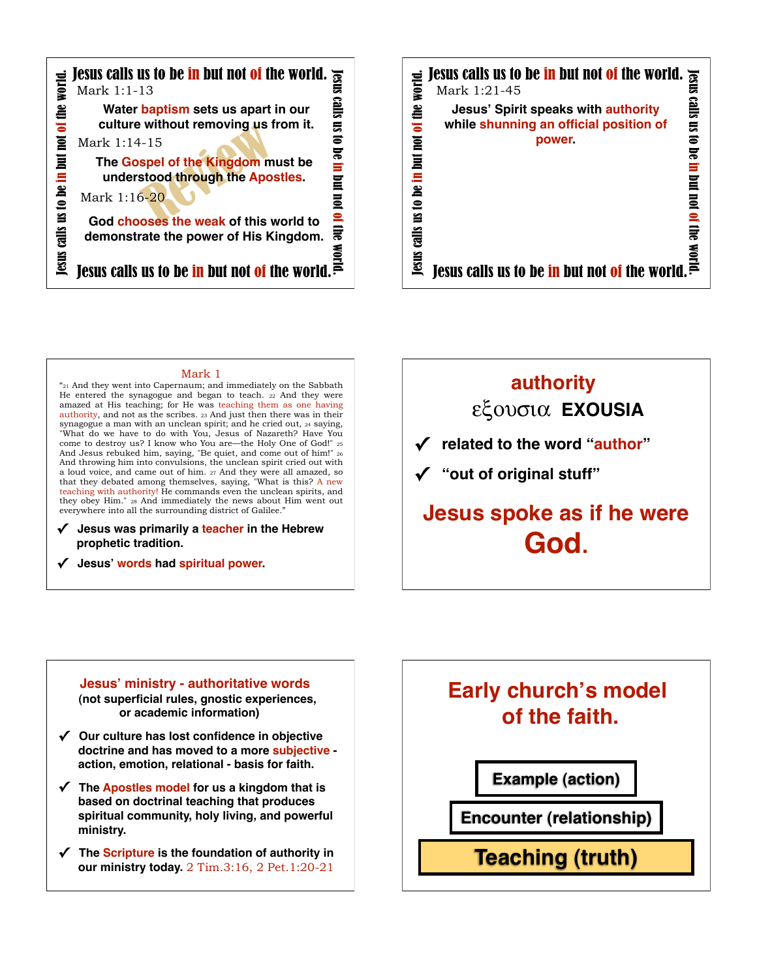



 $\frac{\text{Mark 1}}{\text{Vark 1}}$  and they went into Capernaum; and immediately on the Sabbath He entered the synagogue and began to teach. 22 And they were amazed at His teaching; for He was teaching them as one having authority, and not as the scribes. 23 And just then there was in their synagogue a man with an unclean spirit; and he cried out, 24 saying, "What do we have to do with You, Jesus of Nazareth? Have You come to destroy us? I know who You are—the Holy One of God!" 25 And Jesus rebuked him, saying, "Be quiet, and come out of him!" 26 And throwing him into convulsions, the unclean spirit cried out with a loud voice, and came out of him. 27 And they were all amazed, so that they debated among themselves, saying, "What is this? A new teaching with authority! He commands even the unclean spirits, and they obey Him." 28 And immediately the news about Him went out everywhere into all the surrounding district of Galilee.'

## **✓ Jesus was primarily a teacher in the Hebrew prophetic tradition.**

**✓ Jesus' words had spiritual power.**



# **Jesus' ministry - authoritative words (not superficial rules, gnostic experiences, or academic information)**

- **✓ Our culture has lost confidence in objective doctrine and has moved to a more subjective action, emotion, relational - basis for faith.**
- **✓ The Apostles model for us a kingdom that is based on doctrinal teaching that produces spiritual community, holy living, and powerful ministry.**
- **✓ The Scripture is the foundation of authority in our ministry today.** 2 Tim.3:16, 2 Pet.1:20-21

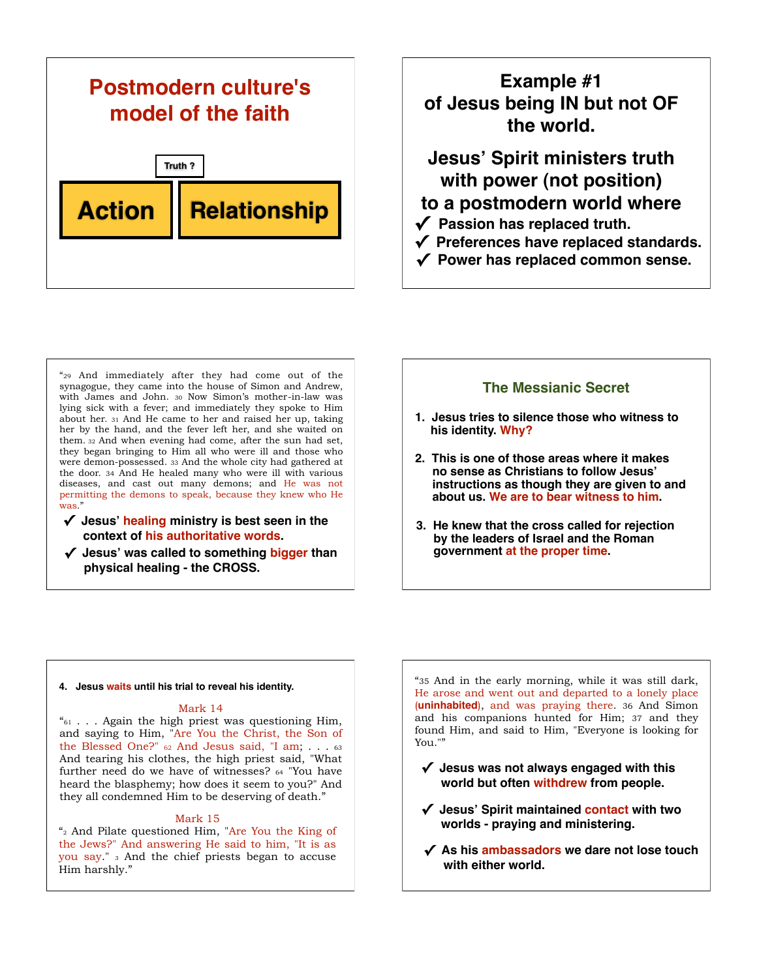

# **Example #1 of Jesus being IN but not OF the world.**

**Jesus' Spirit ministers truth with power (not position) to a postmodern world where**

- **✓ Passion has replaced truth.**
- **✓ Preferences have replaced standards.**
- **✓ Power has replaced common sense.**

"29 And immediately after they had come out of the synagogue, they came into the house of Simon and Andrew, with James and John. 30 Now Simon's mother-in-law was lying sick with a fever; and immediately they spoke to Him about her. 31 And He came to her and raised her up, taking her by the hand, and the fever left her, and she waited on them. 32 And when evening had come, after the sun had set, they began bringing to Him all who were ill and those who were demon-possessed. 33 And the whole city had gathered at the door. 34 And He healed many who were ill with various diseases, and cast out many demons; and He was not permitting the demons to speak, because they knew who He was."

- **✓ Jesus' healing ministry is best seen in the context of his authoritative words.**
- **✓ Jesus' was called to something bigger than physical healing - the CROSS.**

## **The Messianic Secret**

- **1. Jesus tries to silence those who witness to his identity. Why?**
- **2. This is one of those areas where it makes no sense as Christians to follow Jesus' instructions as though they are given to and about us. We are to bear witness to him.**
- **3. He knew that the cross called for rejection by the leaders of Israel and the Roman government at the proper time.**

## **4. Jesus waits until his trial to reveal his identity.**

### Mark 14

 $i_{61}$  . . . Again the high priest was questioning Him, and saying to Him, "Are You the Christ, the Son of the Blessed One?" 62 And Jesus said, "I am; . . . 63 And tearing his clothes, the high priest said, "What further need do we have of witnesses? 64 "You have heard the blasphemy; how does it seem to you?" And they all condemned Him to be deserving of death."

### Mark 15

 $\frac{a}{2}$  And Pilate questioned Him, "Are You the King of the Jews?" And answering He said to him, "It is as you say." 3 And the chief priests began to accuse Him harshly."

"35 And in the early morning, while it was still dark, He arose and went out and departed to a lonely place (**uninhabited**), and was praying there. 36 And Simon and his companions hunted for Him; 37 and they found Him, and said to Him, "Everyone is looking for You.""

- **✓ Jesus was not always engaged with this world but often withdrew from people.**
- **✓ Jesus' Spirit maintained contact with two worlds - praying and ministering.**
- **✓ As his ambassadors we dare not lose touch with either world.**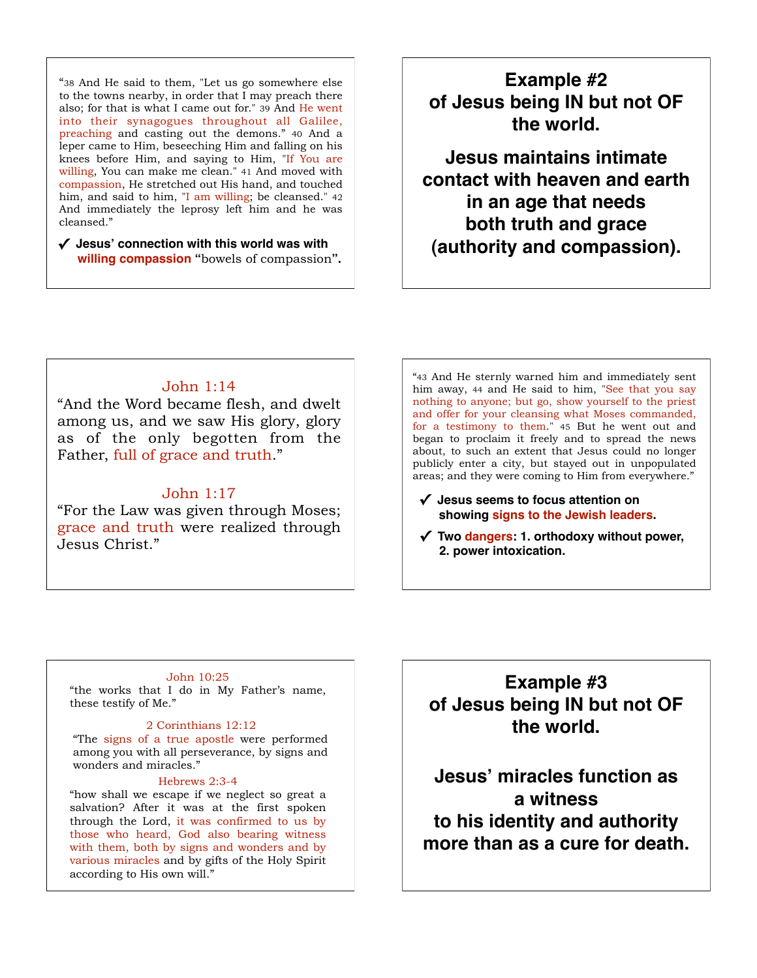"38 And He said to them, "Let us go somewhere else to the towns nearby, in order that I may preach there also; for that is what I came out for." 39 And He went into their synagogues throughout all Galilee, preaching and casting out the demons." 40 And a leper came to Him, beseeching Him and falling on his knees before Him, and saying to Him, "If You are willing, You can make me clean." 41 And moved with compassion, He stretched out His hand, and touched him, and said to him, "I am willing; be cleansed." 42 And immediately the leprosy left him and he was cleansed."

**✓ Jesus' connection with this world was with willing compassion "**bowels of compassion**".** 

# **Example #2 of Jesus being IN but not OF the world.**

**Jesus maintains intimate contact with heaven and earth in an age that needs both truth and grace (authority and compassion).**

## John 1:14

"And the Word became flesh, and dwelt among us, and we saw His glory, glory as of the only begotten from the Father, full of grace and truth."

## John 1:17

"For the Law was given through Moses; grace and truth were realized through Jesus Christ."

"43 And He sternly warned him and immediately sent him away, 44 and He said to him, "See that you say nothing to anyone; but go, show yourself to the priest and offer for your cleansing what Moses commanded, for a testimony to them." 45 But he went out and began to proclaim it freely and to spread the news about, to such an extent that Jesus could no longer publicly enter a city, but stayed out in unpopulated areas; and they were coming to Him from everywhere."

- **✓ Jesus seems to focus attention on showing signs to the Jewish leaders.**
- **✓ Two dangers: 1. orthodoxy without power, 2. power intoxication.**

### John 10:25

"the works that I do in My Father's name, these testify of Me."

## 2 Corinthians 12:12

"The signs of a true apostle were performed among you with all perseverance, by signs and wonders and miracles."

## Hebrews 2:3-4

"how shall we escape if we neglect so great a salvation? After it was at the first spoken through the Lord, it was confirmed to us by those who heard, God also bearing witness with them, both by signs and wonders and by various miracles and by gifts of the Holy Spirit according to His own will."

**Example #3 of Jesus being IN but not OF the world.**

**Jesus' miracles function as a witness to his identity and authority more than as a cure for death.**